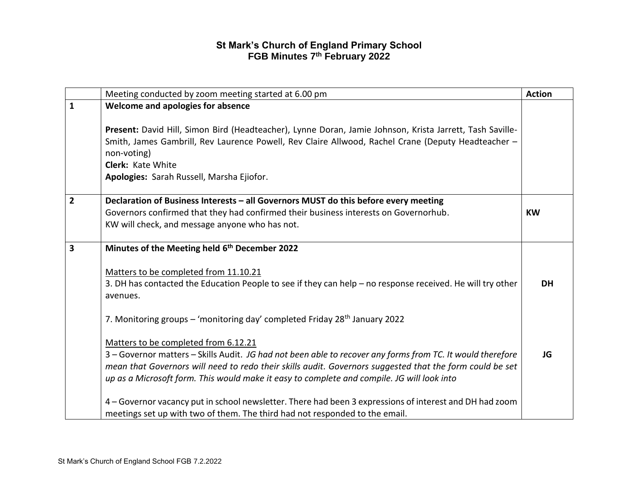|                | Meeting conducted by zoom meeting started at 6.00 pm                                                                                                                                                                                                                                                                                                         | <b>Action</b> |
|----------------|--------------------------------------------------------------------------------------------------------------------------------------------------------------------------------------------------------------------------------------------------------------------------------------------------------------------------------------------------------------|---------------|
| $\mathbf{1}$   | Welcome and apologies for absence                                                                                                                                                                                                                                                                                                                            |               |
|                | Present: David Hill, Simon Bird (Headteacher), Lynne Doran, Jamie Johnson, Krista Jarrett, Tash Saville-<br>Smith, James Gambrill, Rev Laurence Powell, Rev Claire Allwood, Rachel Crane (Deputy Headteacher -<br>non-voting)<br><b>Clerk: Kate White</b><br>Apologies: Sarah Russell, Marsha Ejiofor.                                                       |               |
| $\overline{2}$ | Declaration of Business Interests - all Governors MUST do this before every meeting                                                                                                                                                                                                                                                                          |               |
|                | Governors confirmed that they had confirmed their business interests on Governorhub.<br>KW will check, and message anyone who has not.                                                                                                                                                                                                                       | <b>KW</b>     |
| 3              | Minutes of the Meeting held 6th December 2022                                                                                                                                                                                                                                                                                                                |               |
|                | Matters to be completed from 11.10.21<br>3. DH has contacted the Education People to see if they can help - no response received. He will try other<br>avenues.                                                                                                                                                                                              | <b>DH</b>     |
|                | 7. Monitoring groups – 'monitoring day' completed Friday 28 <sup>th</sup> January 2022                                                                                                                                                                                                                                                                       |               |
|                | Matters to be completed from 6.12.21<br>3 - Governor matters - Skills Audit. JG had not been able to recover any forms from TC. It would therefore<br>mean that Governors will need to redo their skills audit. Governors suggested that the form could be set<br>up as a Microsoft form. This would make it easy to complete and compile. JG will look into | JG            |
|                | 4 - Governor vacancy put in school newsletter. There had been 3 expressions of interest and DH had zoom<br>meetings set up with two of them. The third had not responded to the email.                                                                                                                                                                       |               |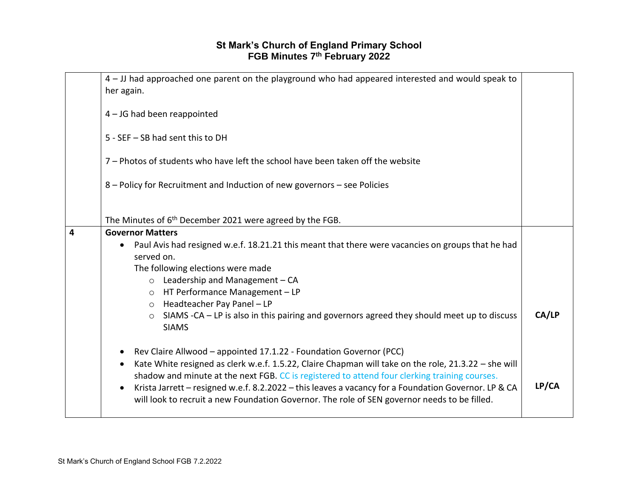|   | 4 - JJ had approached one parent on the playground who had appeared interested and would speak to                 |       |
|---|-------------------------------------------------------------------------------------------------------------------|-------|
|   | her again.                                                                                                        |       |
|   |                                                                                                                   |       |
|   | 4 - JG had been reappointed                                                                                       |       |
|   |                                                                                                                   |       |
|   |                                                                                                                   |       |
|   | 5 - SEF - SB had sent this to DH                                                                                  |       |
|   |                                                                                                                   |       |
|   | 7 - Photos of students who have left the school have been taken off the website                                   |       |
|   |                                                                                                                   |       |
|   |                                                                                                                   |       |
|   | 8 - Policy for Recruitment and Induction of new governors - see Policies                                          |       |
|   |                                                                                                                   |       |
|   |                                                                                                                   |       |
|   |                                                                                                                   |       |
|   | The Minutes of 6 <sup>th</sup> December 2021 were agreed by the FGB.                                              |       |
| 4 | <b>Governor Matters</b>                                                                                           |       |
|   | Paul Avis had resigned w.e.f. 18.21.21 this meant that there were vacancies on groups that he had<br>$\bullet$    |       |
|   | served on.                                                                                                        |       |
|   |                                                                                                                   |       |
|   | The following elections were made                                                                                 |       |
|   | $\circ$ Leadership and Management - CA                                                                            |       |
|   | HT Performance Management - LP<br>$\circ$                                                                         |       |
|   | Headteacher Pay Panel - LP                                                                                        |       |
|   | $\circ$                                                                                                           |       |
|   | SIAMS -CA – LP is also in this pairing and governors agreed they should meet up to discuss<br>$\circ$             | CA/LP |
|   | <b>SIAMS</b>                                                                                                      |       |
|   |                                                                                                                   |       |
|   |                                                                                                                   |       |
|   | Rev Claire Allwood - appointed 17.1.22 - Foundation Governor (PCC)                                                |       |
|   | Kate White resigned as clerk w.e.f. 1.5.22, Claire Chapman will take on the role, 21.3.22 - she will<br>٠         |       |
|   | shadow and minute at the next FGB. CC is registered to attend four clerking training courses.                     |       |
|   | Krista Jarrett - resigned w.e.f. 8.2.2022 - this leaves a vacancy for a Foundation Governor. LP & CA<br>$\bullet$ | LP/CA |
|   |                                                                                                                   |       |
|   | will look to recruit a new Foundation Governor. The role of SEN governor needs to be filled.                      |       |
|   |                                                                                                                   |       |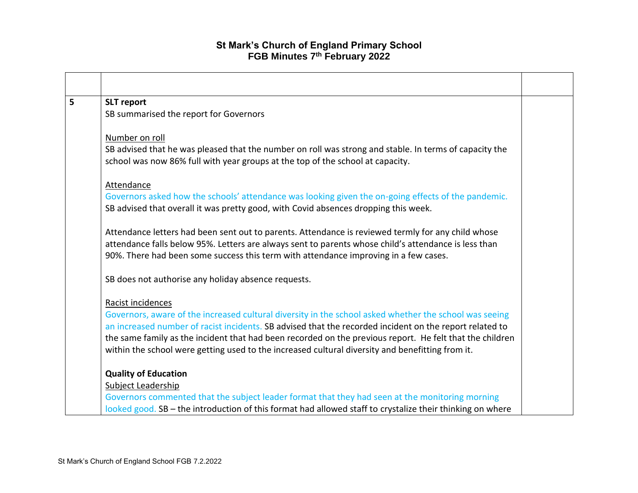| 5 | <b>SLT</b> report                                                                                         |  |
|---|-----------------------------------------------------------------------------------------------------------|--|
|   | SB summarised the report for Governors                                                                    |  |
|   |                                                                                                           |  |
|   | Number on roll                                                                                            |  |
|   | SB advised that he was pleased that the number on roll was strong and stable. In terms of capacity the    |  |
|   | school was now 86% full with year groups at the top of the school at capacity.                            |  |
|   |                                                                                                           |  |
|   | <b>Attendance</b>                                                                                         |  |
|   | Governors asked how the schools' attendance was looking given the on-going effects of the pandemic.       |  |
|   | SB advised that overall it was pretty good, with Covid absences dropping this week.                       |  |
|   |                                                                                                           |  |
|   | Attendance letters had been sent out to parents. Attendance is reviewed termly for any child whose        |  |
|   | attendance falls below 95%. Letters are always sent to parents whose child's attendance is less than      |  |
|   | 90%. There had been some success this term with attendance improving in a few cases.                      |  |
|   | SB does not authorise any holiday absence requests.                                                       |  |
|   |                                                                                                           |  |
|   | Racist incidences                                                                                         |  |
|   | Governors, aware of the increased cultural diversity in the school asked whether the school was seeing    |  |
|   | an increased number of racist incidents. SB advised that the recorded incident on the report related to   |  |
|   | the same family as the incident that had been recorded on the previous report. He felt that the children  |  |
|   | within the school were getting used to the increased cultural diversity and benefitting from it.          |  |
|   | <b>Quality of Education</b>                                                                               |  |
|   | Subject Leadership                                                                                        |  |
|   | Governors commented that the subject leader format that they had seen at the monitoring morning           |  |
|   | looked good. SB - the introduction of this format had allowed staff to crystalize their thinking on where |  |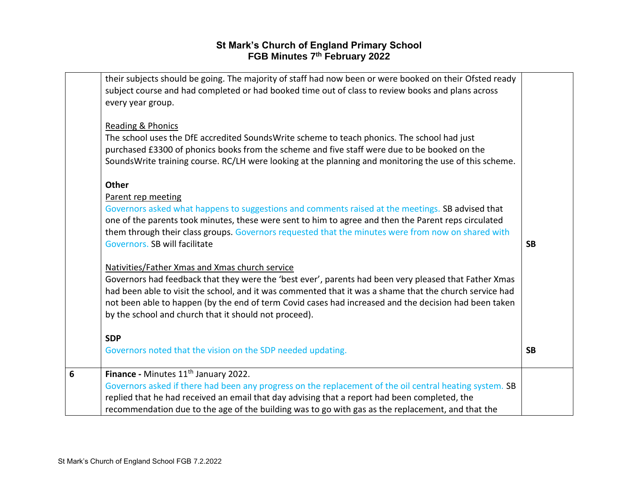|   | their subjects should be going. The majority of staff had now been or were booked on their Ofsted ready<br>subject course and had completed or had booked time out of class to review books and plans across<br>every year group.<br><b>Reading &amp; Phonics</b><br>The school uses the DfE accredited SoundsWrite scheme to teach phonics. The school had just<br>purchased £3300 of phonics books from the scheme and five staff were due to be booked on the<br>SoundsWrite training course. RC/LH were looking at the planning and monitoring the use of this scheme.<br><b>Other</b><br>Parent rep meeting<br>Governors asked what happens to suggestions and comments raised at the meetings. SB advised that<br>one of the parents took minutes, these were sent to him to agree and then the Parent reps circulated<br>them through their class groups. Governors requested that the minutes were from now on shared with<br>Governors. SB will facilitate<br>Nativities/Father Xmas and Xmas church service<br>Governors had feedback that they were the 'best ever', parents had been very pleased that Father Xmas<br>had been able to visit the school, and it was commented that it was a shame that the church service had<br>not been able to happen (by the end of term Covid cases had increased and the decision had been taken<br>by the school and church that it should not proceed). | <b>SB</b> |
|---|-------------------------------------------------------------------------------------------------------------------------------------------------------------------------------------------------------------------------------------------------------------------------------------------------------------------------------------------------------------------------------------------------------------------------------------------------------------------------------------------------------------------------------------------------------------------------------------------------------------------------------------------------------------------------------------------------------------------------------------------------------------------------------------------------------------------------------------------------------------------------------------------------------------------------------------------------------------------------------------------------------------------------------------------------------------------------------------------------------------------------------------------------------------------------------------------------------------------------------------------------------------------------------------------------------------------------------------------------------------------------------------------------------------|-----------|
|   | <b>SDP</b><br>Governors noted that the vision on the SDP needed updating.                                                                                                                                                                                                                                                                                                                                                                                                                                                                                                                                                                                                                                                                                                                                                                                                                                                                                                                                                                                                                                                                                                                                                                                                                                                                                                                                   | <b>SB</b> |
| 6 | Finance - Minutes 11 <sup>th</sup> January 2022.<br>Governors asked if there had been any progress on the replacement of the oil central heating system. SB<br>replied that he had received an email that day advising that a report had been completed, the<br>recommendation due to the age of the building was to go with gas as the replacement, and that the                                                                                                                                                                                                                                                                                                                                                                                                                                                                                                                                                                                                                                                                                                                                                                                                                                                                                                                                                                                                                                           |           |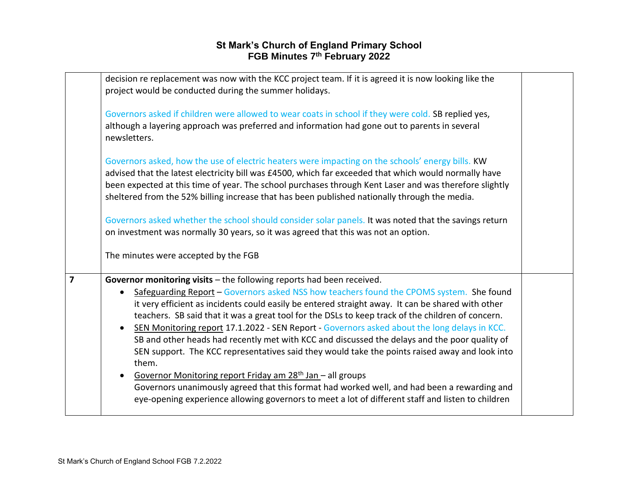|   | decision re replacement was now with the KCC project team. If it is agreed it is now looking like the<br>project would be conducted during the summer holidays.<br>Governors asked if children were allowed to wear coats in school if they were cold. SB replied yes,<br>although a layering approach was preferred and information had gone out to parents in several<br>newsletters.                                                                                                                                                                                                                                                                                                                                                                                                                                                                                                                                                                                                                        |  |
|---|----------------------------------------------------------------------------------------------------------------------------------------------------------------------------------------------------------------------------------------------------------------------------------------------------------------------------------------------------------------------------------------------------------------------------------------------------------------------------------------------------------------------------------------------------------------------------------------------------------------------------------------------------------------------------------------------------------------------------------------------------------------------------------------------------------------------------------------------------------------------------------------------------------------------------------------------------------------------------------------------------------------|--|
|   | Governors asked, how the use of electric heaters were impacting on the schools' energy bills. KW<br>advised that the latest electricity bill was £4500, which far exceeded that which would normally have<br>been expected at this time of year. The school purchases through Kent Laser and was therefore slightly<br>sheltered from the 52% billing increase that has been published nationally through the media.                                                                                                                                                                                                                                                                                                                                                                                                                                                                                                                                                                                           |  |
|   | Governors asked whether the school should consider solar panels. It was noted that the savings return<br>on investment was normally 30 years, so it was agreed that this was not an option.<br>The minutes were accepted by the FGB                                                                                                                                                                                                                                                                                                                                                                                                                                                                                                                                                                                                                                                                                                                                                                            |  |
| 7 | Governor monitoring visits $-$ the following reports had been received.<br>Safeguarding Report – Governors asked NSS how teachers found the CPOMS system. She found<br>$\bullet$<br>it very efficient as incidents could easily be entered straight away. It can be shared with other<br>teachers. SB said that it was a great tool for the DSLs to keep track of the children of concern.<br>SEN Monitoring report 17.1.2022 - SEN Report - Governors asked about the long delays in KCC.<br>$\bullet$<br>SB and other heads had recently met with KCC and discussed the delays and the poor quality of<br>SEN support. The KCC representatives said they would take the points raised away and look into<br>them.<br>Governor Monitoring report Friday am 28 <sup>th</sup> Jan - all groups<br>$\bullet$<br>Governors unanimously agreed that this format had worked well, and had been a rewarding and<br>eye-opening experience allowing governors to meet a lot of different staff and listen to children |  |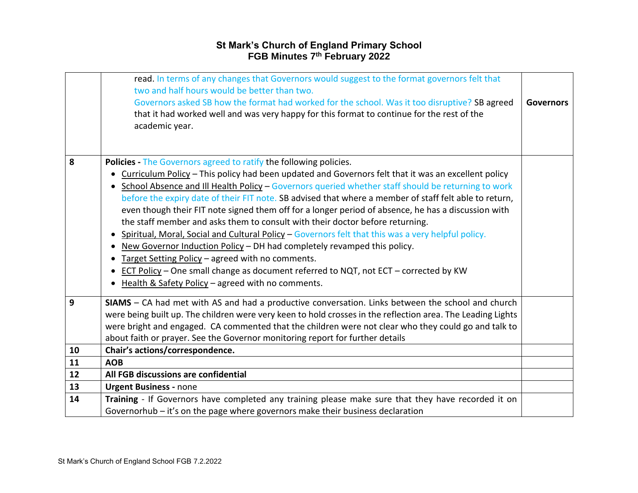|    | read. In terms of any changes that Governors would suggest to the format governors felt that<br>two and half hours would be better than two.<br>Governors asked SB how the format had worked for the school. Was it too disruptive? SB agreed<br>that it had worked well and was very happy for this format to continue for the rest of the<br>academic year. | <b>Governors</b> |
|----|---------------------------------------------------------------------------------------------------------------------------------------------------------------------------------------------------------------------------------------------------------------------------------------------------------------------------------------------------------------|------------------|
| 8  | Policies - The Governors agreed to ratify the following policies.<br>Curriculum Policy – This policy had been updated and Governors felt that it was an excellent policy                                                                                                                                                                                      |                  |
|    | School Absence and Ill Health Policy - Governors queried whether staff should be returning to work                                                                                                                                                                                                                                                            |                  |
|    | before the expiry date of their FIT note. SB advised that where a member of staff felt able to return,                                                                                                                                                                                                                                                        |                  |
|    | even though their FIT note signed them off for a longer period of absence, he has a discussion with<br>the staff member and asks them to consult with their doctor before returning.                                                                                                                                                                          |                  |
|    | Spiritual, Moral, Social and Cultural Policy - Governors felt that this was a very helpful policy.<br>$\bullet$                                                                                                                                                                                                                                               |                  |
|    | New Governor Induction Policy - DH had completely revamped this policy.<br>$\bullet$                                                                                                                                                                                                                                                                          |                  |
|    | Target Setting Policy - agreed with no comments.<br>$\bullet$                                                                                                                                                                                                                                                                                                 |                  |
|    | • ECT Policy - One small change as document referred to NQT, not ECT - corrected by KW                                                                                                                                                                                                                                                                        |                  |
|    | Health & Safety Policy - agreed with no comments.                                                                                                                                                                                                                                                                                                             |                  |
| 9  | SIAMS - CA had met with AS and had a productive conversation. Links between the school and church                                                                                                                                                                                                                                                             |                  |
|    | were being built up. The children were very keen to hold crosses in the reflection area. The Leading Lights                                                                                                                                                                                                                                                   |                  |
|    | were bright and engaged. CA commented that the children were not clear who they could go and talk to                                                                                                                                                                                                                                                          |                  |
|    | about faith or prayer. See the Governor monitoring report for further details                                                                                                                                                                                                                                                                                 |                  |
| 10 | Chair's actions/correspondence.                                                                                                                                                                                                                                                                                                                               |                  |
| 11 | <b>AOB</b>                                                                                                                                                                                                                                                                                                                                                    |                  |
| 12 | All FGB discussions are confidential                                                                                                                                                                                                                                                                                                                          |                  |
| 13 | <b>Urgent Business - none</b>                                                                                                                                                                                                                                                                                                                                 |                  |
| 14 | Training - If Governors have completed any training please make sure that they have recorded it on                                                                                                                                                                                                                                                            |                  |
|    | Governorhub – it's on the page where governors make their business declaration                                                                                                                                                                                                                                                                                |                  |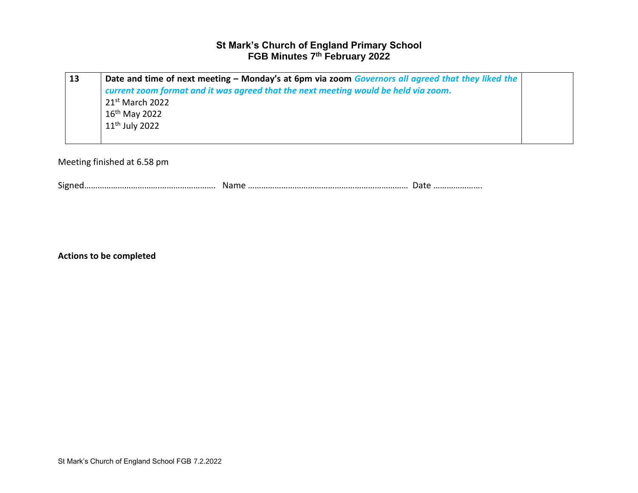| 13 | Date and time of next meeting – Monday's at 6pm via zoom Governors all agreed that they liked the |  |
|----|---------------------------------------------------------------------------------------------------|--|
|    | current zoom format and it was agreed that the next meeting would be held via zoom.               |  |
|    | $21st$ March 2022                                                                                 |  |
|    | $16th$ May 2022                                                                                   |  |
|    | $11th$ July 2022                                                                                  |  |
|    |                                                                                                   |  |

Meeting finished at 6.58 pm

Signed…………………………….……………………. Name ……………………………………………………………… Date ………………….

**Actions to be completed**